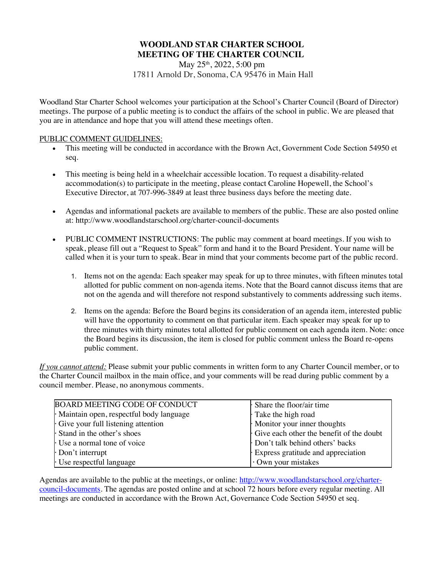# **WOODLAND STAR CHARTER SCHOOL MEETING OF THE CHARTER COUNCIL**

May 25<sup>th</sup>, 2022, 5:00 pm 17811 Arnold Dr, Sonoma, CA 95476 in Main Hall

Woodland Star Charter School welcomes your participation at the School's Charter Council (Board of Director) meetings. The purpose of a public meeting is to conduct the affairs of the school in public. We are pleased that you are in attendance and hope that you will attend these meetings often.

### PUBLIC COMMENT GUIDELINES:

- This meeting will be conducted in accordance with the Brown Act, Government Code Section 54950 et seq.
- This meeting is being held in a wheelchair accessible location. To request a disability-related accommodation(s) to participate in the meeting, please contact Caroline Hopewell, the School's Executive Director, at 707-996-3849 at least three business days before the meeting date.
- Agendas and informational packets are available to members of the public. These are also posted online at: http://www.woodlandstarschool.org/charter-council-documents
- PUBLIC COMMENT INSTRUCTIONS: The public may comment at board meetings. If you wish to speak, please fill out a "Request to Speak" form and hand it to the Board President. Your name will be called when it is your turn to speak. Bear in mind that your comments become part of the public record.
	- 1. Items not on the agenda: Each speaker may speak for up to three minutes, with fifteen minutes total allotted for public comment on non-agenda items. Note that the Board cannot discuss items that are not on the agenda and will therefore not respond substantively to comments addressing such items.
	- 2. Items on the agenda: Before the Board begins its consideration of an agenda item, interested public will have the opportunity to comment on that particular item. Each speaker may speak for up to three minutes with thirty minutes total allotted for public comment on each agenda item. Note: once the Board begins its discussion, the item is closed for public comment unless the Board re-opens public comment.

*If you cannot attend:* Please submit your public comments in written form to any Charter Council member, or to the Charter Council mailbox in the main office, and your comments will be read during public comment by a council member. Please, no anonymous comments.

| <b>BOARD MEETING CODE OF CONDUCT</b>    | Share the floor/air time                 |
|-----------------------------------------|------------------------------------------|
| Maintain open, respectful body language | Take the high road                       |
| Give your full listening attention      | Monitor your inner thoughts              |
| Stand in the other's shoes              | Give each other the benefit of the doubt |
| Use a normal tone of voice              | Don't talk behind others' backs          |
| $\cdot$ Don't interrupt                 | Express gratitude and appreciation       |
| Use respectful language                 | Own your mistakes                        |

Agendas are available to the public at the meetings, or online: http://www.woodlandstarschool.org/chartercouncil-documents. The agendas are posted online and at school 72 hours before every regular meeting. All meetings are conducted in accordance with the Brown Act, Governance Code Section 54950 et seq.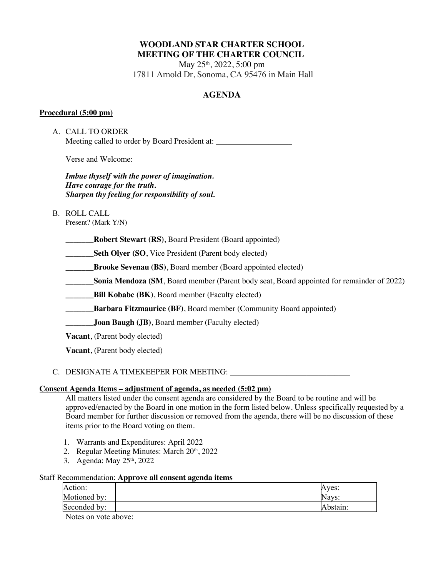# **WOODLAND STAR CHARTER SCHOOL MEETING OF THE CHARTER COUNCIL**

May 25<sup>th</sup>, 2022, 5:00 pm 17811 Arnold Dr, Sonoma, CA 95476 in Main Hall

# **AGENDA**

## **Procedural (5:00 pm)**

A. CALL TO ORDER Meeting called to order by Board President at:

Verse and Welcome:

*Imbue thyself with the power of imagination. Have courage for the truth. Sharpen thy feeling for responsibility of soul.*

## B. ROLL CALL

Present? (Mark Y/N)

**\_\_\_\_\_\_\_Robert Stewart (RS)**, Board President (Board appointed)

**Seth Olyer (SO, Vice President (Parent body elected)** 

**\_\_\_\_\_\_\_Brooke Sevenau (BS)**, Board member (Board appointed elected)

**Sonia Mendoza (SM, Board member (Parent body seat, Board appointed for remainder of 2022)** 

**EXECUTE:** Bill **Kobabe** (BK), Board member (Faculty elected)

**Barbara Fitzmaurice (BF)**, Board member (Community Board appointed)

**\_\_\_\_\_\_\_Joan Baugh (JB)**, Board member (Faculty elected)

**Vacant**, (Parent body elected)

**Vacant**, (Parent body elected)

## C. DESIGNATE A TIMEKEEPER FOR MEETING: \_\_\_\_\_\_\_\_\_\_\_\_\_\_\_\_\_\_\_\_\_\_\_\_\_\_\_\_\_\_

## **Consent Agenda Items – adjustment of agenda, as needed (5:02 pm)**

All matters listed under the consent agenda are considered by the Board to be routine and will be approved/enacted by the Board in one motion in the form listed below. Unless specifically requested by a Board member for further discussion or removed from the agenda, there will be no discussion of these items prior to the Board voting on them.

- 1. Warrants and Expenditures: April 2022
- 2. Regular Meeting Minutes: March 20th, 2022
- 3. Agenda: May 25th, 2022

## Staff Recommendation: **Approve all consent agenda items**

| Action:      | Aves:    |  |
|--------------|----------|--|
| Motioned by: | Navs:    |  |
| Seconded by: | Abstain: |  |

Notes on vote above: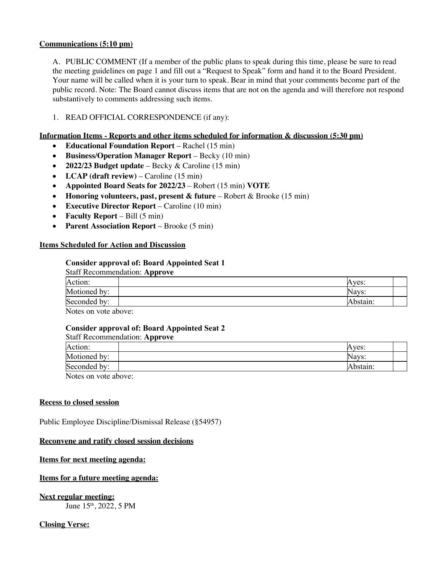## **Communications (5:10 pm)**

A. PUBLIC COMMENT (If a member of the public plans to speak during this time, please be sure to read the meeting guidelines on page 1 and fill out a "Request to Speak" form and hand it to the Board President. Your name will be called when it is your turn to speak. Bear in mind that your comments become part of the public record. Note: The Board cannot discuss items that are not on the agenda and will therefore not respond substantively to comments addressing such items.

## 1. READ OFFICIAL CORRESPONDENCE (if any):

### **Information Items - Reports and other items scheduled for information & discussion (5:30 pm)**

- **Educational Foundation Report** Rachel (15 min)
- **Business/Operation Manager Report** Becky (10 min)
- **2022/23 Budget update**  Becky & Caroline (15 min)
- **LCAP** (draft review) Caroline (15 min)
- **Appointed Board Seats for 2022/23** Robert (15 min) **VOTE**
- **Honoring volunteers, past, present & future** Robert & Brooke (15 min)
- **Executive Director Report** Caroline (10 min)
- **Faculty Report** Bill (5 min)
- **Parent Association Report** Brooke (5 min)

### **Items Scheduled for Action and Discussion**

### **Consider approval of: Board Appointed Seat 1**

| <b>Staff Recommendation: Approve</b> |          |
|--------------------------------------|----------|
| Action:                              | Aves:    |
| Motioned by:                         | Navs:    |
| Seconded by:                         | Abstain: |
| Notes on yoto above                  |          |

Notes on vote above:

## **Consider approval of: Board Appointed Seat 2**

#### Staff Recommendation: **Approve**

| Action:      | ves:    |
|--------------|---------|
| Motioned by: | Navs:   |
| Seconded by: | bstain: |
| <b>AT</b>    |         |

Notes on vote above:

#### **Recess to closed session**

Public Employee Discipline/Dismissal Release (§54957)

#### **Reconvene and ratify closed session decisions**

#### **Items for next meeting agenda:**

## **Items for a future meeting agenda:**

## **Next regular meeting:**

June 15th, 2022, 5 PM

## **Closing Verse:**